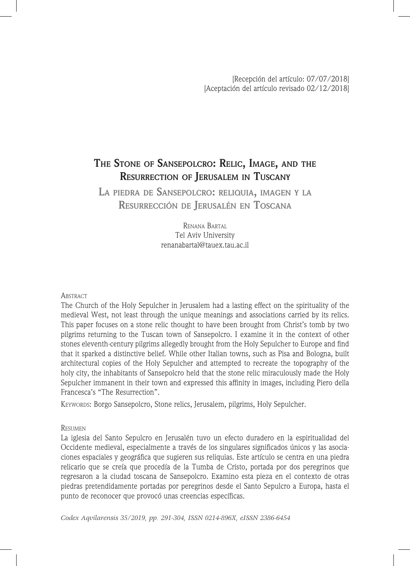# **The Stone of Sansepolcro: Relic, Image, and the Resurrection of Jerusalem in Tuscany**

**La piedra de Sansepolcro: reliquia, imagen <sup>y</sup> la Resurrección de Jerusalén en Toscana**

> Renana Bartal Tel Aviv University renanabartal@tauex.tau.ac.il

## **ABSTRACT**

The Church of the Holy Sepulcher in Jerusalem had a lasting effect on the spirituality of the medieval West, not least through the unique meanings and associations carried by its relics. This paper focuses on a stone relic thought to have been brought from Christ's tomb by two pilgrims returning to the Tuscan town of Sansepolcro. I examine it in the context of other stones eleventh-century pilgrims allegedly brought from the Holy Sepulcher to Europe and find that it sparked a distinctive belief. While other Italian towns, such as Pisa and Bologna, built architectural copies of the Holy Sepulcher and attempted to recreate the topography of the holy city, the inhabitants of Sansepolcro held that the stone relic miraculously made the Holy Sepulcher immanent in their town and expressed this affinity in images, including Piero della Francesca's "The Resurrection".

KEYWORDS: Borgo Sansepolcro, Stone relics, Jerusalem, pilgrims, Holy Sepulcher.

# **RESUMEN**

La iglesia del Santo Sepulcro en Jerusalén tuvo un efecto duradero en la espiritualidad del Occidente medieval, especialmente a través de los singulares significados únicos y las asociaciones espaciales y geográfica que sugieren sus reliquias. Este artículo se centra en una piedra relicario que se creía que procedía de la Tumba de Cristo, portada por dos peregrinos que regresaron a la ciudad toscana de Sansepolcro. Examino esta pieza en el contexto de otras piedras pretendidamente portadas por peregrinos desde el Santo Sepulcro a Europa, hasta el punto de reconocer que provocó unas creencias específicas.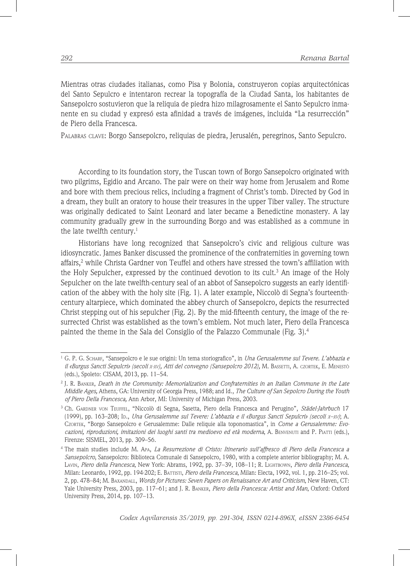Mientras otras ciudades italianas, como Pisa y Bolonia, construyeron copias arquitectónicas del Santo Sepulcro e intentaron recrear la topografía de la Ciudad Santa, los habitantes de Sansepolcro sostuvieron que la reliquia de piedra hizo milagrosamente el Santo Sepulcro inmanente en su ciudad y expresó esta afinidad a través de imágenes, incluida "La resurrección" de Piero della Francesca.

Palabras clave: Borgo Sansepolcro, reliquias de piedra, Jerusalén, peregrinos, Santo Sepulcro.

According to its foundation story, the Tuscan town of Borgo Sansepolcro originated with two pilgrims, Egidio and Arcano. The pair were on their way home from Jerusalem and Rome and bore with them precious relics, including a fragment of Christ's tomb. Directed by God in a dream, they built an oratory to house their treasures in the upper Tiber valley. The structure was originally dedicated to Saint Leonard and later became a Benedictine monastery. A lay community gradually grew in the surrounding Borgo and was established as a commune in the late twelfth century.<sup>1</sup>

Historians have long recognized that Sansepolcro's civic and religious culture was idiosyncratic. James Banker discussed the prominence of the confraternities in governing town affairs,<sup>2</sup> while Christa Gardner von Teuffel and others have stressed the town's affiliation with the Holy Sepulcher, expressed by the continued devotion to its cult.<sup>3</sup> An image of the Holy Sepulcher on the late twelfth-century seal of an abbot of Sansepolcro suggests an early identification of the abbey with the holy site (Fig. 1). A later example, Niccolò di Segna's fourteenthcentury altarpiece, which dominated the abbey church of Sansepolcro, depicts the resurrected Christ stepping out of his sepulcher (Fig. 2). By the mid-fifteenth century, the image of the resurrected Christ was established as the town's emblem. Not much later, Piero della Francesca painted the theme in the Sala del Consiglio of the Palazzo Communale (Fig. 3).<sup>4</sup>

<sup>1</sup> G. P. G. Scharf, "Sansepolcro e le sue origini: Un tema storiografico", in *Una Gerusalemme sul Tevere. L'abbazia e il «Burgus Sancti Sepulcri» (secoli x-xv), Atti del convegno (Sansepolcro 2012),* M. Bassetti, A. czortek, E. Menestò (eds.), Spoleto: CISAM, 2013, pp. 11–54.

<sup>2</sup> J. R. Banker, *Death in the Community: Memorialization and Confraternities in an Italian Commune in the Late Middle Ages,* Athens, GA: University of Georgia Press, 1988; and Id., *The Culture of San Sepolcro During the Youth of Piero Della Francesca,* Ann Arbor, MI: University of Michigan Press, 2003.

<sup>&</sup>lt;sup>3</sup> Ch. GARDNER von Teuffel, "Niccolò di Segna, Sasetta, Piero della Francesca and Perugino", Städel-Jahrbuch 17 (1999), pp. 163–208; Id., *Una Gerusalemme sul Tevere: L'abbazia e il «Burgus Sancti Sepulcri» (secoli x–xv)*; A. Czortek, "Borgo Sansepolcro e Gerusalemme: Dalle reliquie alla toponomastica", in *Come a Gerusalemme: Evocazioni, riproduzioni, imitazioni dei luoghi santi tra medioevo ed età moderna*, A. Benvenuti and P. Piatti (eds.), Firenze: SISMEL, 2013, pp. 309–56.

<sup>4</sup> The main studies include M. Apa, *La Resurrezione di Cristo: Itinerario sull'affresco di Piero della Francesca a Sansepolcro*, Sansepolcro: Biblioteca Comunale di Sansepolcro, 1980, with a complete anterior bibliography; M. A. Lavin, *Piero della Francesca*, New York: Abrams, 1992, pp. 37–39, 108–11; R. Lightbown, *Piero della Francesca*, Milan: Leonardo, 1992, pp. 194-202; E. Battisti, *Piero della Francesca*, Milan: Electa, 1992, vol. 1, pp. 216–25; vol. 2, pp. 478–84; M. Baxandall, *Words for Pictures: Seven Papers on Renaissance Art and Criticism*, New Haven, CT: Yale University Press, 2003, pp. 117–61; and J. R. Banker, *Piero della Francesca: Artist and Man*, Oxford: Oxford University Press, 2014, pp. 107–13.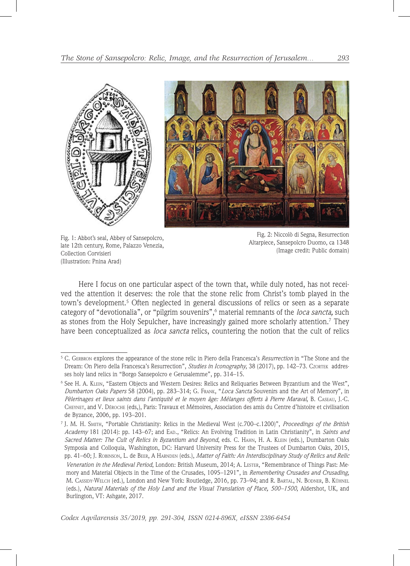

Fig. 1: Abbot's seal, Abbey of Sansepolcro, late 12th century, Rome, Palazzo Venezia, Collection Corvisieri (Illustration: Pnina Arad)

Fig. 2: Niccolò di Segna, Resurrection Altarpiece, Sansepolcro Duomo, ca 1348 (Image credit: Public domain)

Here I focus on one particular aspect of the town that, while duly noted, has not received the attention it deserves: the role that the stone relic from Christ's tomb played in the town's development.<sup>5</sup> Often neglected in general discussions of relics or seen as a separate category of "devotionalia", or "pilgrim souvenirs",<sup>6</sup> material remnants of the *loca sancta,* such as stones from the Holy Sepulcher, have increasingly gained more scholarly attention.<sup>7</sup> They have been conceptualized as *loca sancta* relics, countering the notion that the cult of relics

<sup>5</sup> C. Gerbron explores the appearance of the stone relic in Piero della Francesca's *Resurrection* in "The Stone and the Dream: On Piero della Francesca's Resurrection", *Studies in Iconography*, 38 (2017), pp. 142–73. Czortek addresses holy land relics in "Borgo Sansepolcro e Gerusalemme", pp*.* 314–15.

<sup>6</sup> See H. A. Klein, "Eastern Objects and Western Desires: Relics and Reliquaries Between Byzantium and the West", *Dumbarton Oaks Papers* 58 (2004), pp. 283–314; G. Frank, "*Loca Sancta* Souvenirs and the Art of Memory", in *Pèlerinages et lieux saints dans l'antiquité et le moyen âge: Mélanges offerts à Pierre Maraval*, B. Caseau, J.-C. Cheynet, and V. Déroche (eds,), Paris: Travaux et Mémoires, Association des amis du Centre d'histoire et civilisation de Byzance, 2006, pp. 193–201.

<sup>7</sup> J. M. H. Smith, "Portable Christianity: Relics in the Medieval West (c.700–c.1200)", *Proceedings of the British Academy* 181 (2014): pp. 143–67; and Ead., "Relics: An Evolving Tradition in Latin Christianity", in *Saints and Sacred Matter: The Cult of Relics in Byzantium and Beyond*, eds. C. Hahn, H. A. Klein (eds.), Dumbarton Oaks Symposia and Colloquia, Washington, DC: Harvard University Press for the Trustees of Dumbarton Oaks, 2015, pp. 41–60; J. Robinson, L. de Beer, A Harnden (eds.), *Matter of Faith: An Interdisciplinary Study of Relics and Relic Veneration in the Medieval Period*, London: British Museum, 2014; A. Lester, "Remembrance of Things Past: Me-

mory and Material Objects in the Time of the Crusades, 1095–1291", in *Remembering Crusades and Crusading*, M. CASSIDY-WELCH (ed.), London and New York: Routledge, 2016, pp. 73–94; and R. BARTAL, N. BODNER, B. KÜHNEL (eds.), *Natural Materials of the Holy Land and the Visual Translation of Place, 500–1500*, Aldershot, UK, and Burlington, VT: Ashgate, 2017.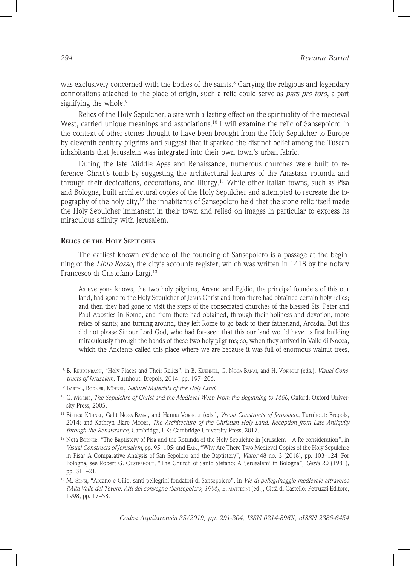was exclusively concerned with the bodies of the saints. ${}^{8}$  Carrying the religious and legendary connotations attached to the place of origin, such a relic could serve as *pars pro toto*, a part signifying the whole.<sup>9</sup>

Relics of the Holy Sepulcher, a site with a lasting effect on the spirituality of the medieval West, carried unique meanings and associations.<sup>10</sup> I will examine the relic of Sansepolcro in the context of other stones thought to have been brought from the Holy Sepulcher to Europe by eleventh-century pilgrims and suggest that it sparked the distinct belief among the Tuscan inhabitants that Jerusalem was integrated into their own town's urban fabric.

During the late Middle Ages and Renaissance, numerous churches were built to reference Christ's tomb by suggesting the architectural features of the Anastasis rotunda and through their dedications, decorations, and liturgy.<sup>11</sup> While other Italian towns, such as Pisa and Bologna, built architectural copies of the Holy Sepulcher and attempted to recreate the topography of the holy city,<sup>12</sup> the inhabitants of Sansepolcro held that the stone relic itself made the Holy Sepulcher immanent in their town and relied on images in particular to express its miraculous affinity with Jerusalem.

#### **Relics of the Holy Sepulcher**

The earliest known evidence of the founding of Sansepolcro is a passage at the beginning of the *Libro Rosso*, the city's accounts register, which was written in 1418 by the notary Francesco di Cristofano Largi.<sup>13</sup>

As everyone knows, the two holy pilgrims, Arcano and Egidio, the principal founders of this our land, had gone to the Holy Sepulcher of Jesus Christ and from there had obtained certain holy relics; and then they had gone to visit the steps of the consecrated churches of the blessed Sts. Peter and Paul Apostles in Rome, and from there had obtained, through their holiness and devotion, more relics of saints; and turning around, they left Rome to go back to their fatherland, Arcadia. But this did not please Sir our Lord God, who had foreseen that this our land would have its first building miraculously through the hands of these two holy pilgrims; so, when they arrived in Valle di Nocea, which the Ancients called this place where we are because it was full of enormous walnut trees,

<sup>8</sup> B. Reudenbach, "Holy Places and Their Relics", in B. Kuehnel, G. Noga-Banai, and H. Vorholt (eds.), *Visual Constructs of Jerusalem*, Turnhout: Brepols, 2014, pp. 197–206.

<sup>9</sup> Bartal, Bodner, Kühnel, *Natural Materials of the Holy Land*.

<sup>&</sup>lt;sup>10</sup> C. Morris, *The Sepulchre of Christ and the Medieval West: From the Beginning to 1600*, Oxford: Oxford University Press, 2005.

<sup>11</sup> Bianca Kühnel, Galit Noga-Banai, and Hanna Vorholt (eds.), *Visual Constructs of Jerusalem*, Turnhout: Brepols, 2014; and Kathryn Blare Moore, *The Architecture of the Christian Holy Land: Reception from Late Antiquity through the Renaissance,* Cambridge, UK: Cambridge University Press, 2017.

 $12$  Neta BODNER, "The Baptistery of Pisa and the Rotunda of the Holy Sepulchre in Jerusalem—A Re-consideration", in *Visual Constructs of Jerusalem*, pp. 95–105; and Ead., "Why Are There Two Medieval Copies of the Holy Sepulchre in Pisa? A Comparative Analysis of San Sepolcro and the Baptistery", *Viator* 48 no. 3 (2018), pp. 103–124. For Bologna, see Robert G. Ousterhout, "The Church of Santo Stefano: A 'Jerusalem' in Bologna", *Gesta* 20 (1981), pp. 311–21.

<sup>13</sup> M. Sensi, "Arcano e Gilio, santi pellegrini fondatori di Sansepolcro", in *Vie di pellegrinaggio medievale attraverso l'Alta Valle del Tevere, Atti del convegno (Sansepolcro, 1996)*, E. mattesini (ed.), Città di Castello: Petruzzi Editore, 1998, pp. 17–58.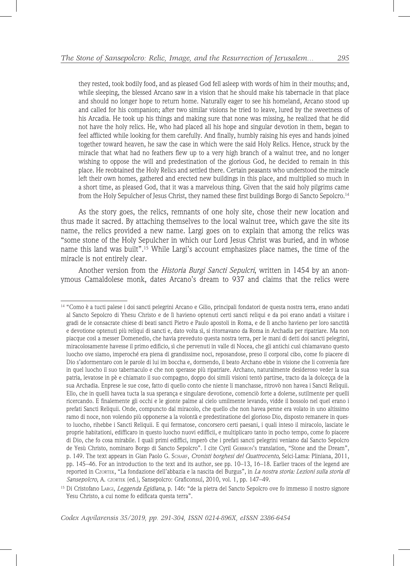they rested, took bodily food, and as pleased God fell asleep with words of him in their mouths; and, while sleeping, the blessed Arcano saw in a vision that he should make his tabernacle in that place and should no longer hope to return home. Naturally eager to see his homeland, Arcano stood up and called for his companion; after two similar visions he tried to leave, lured by the sweetness of his Arcadia. He took up his things and making sure that none was missing, he realized that he did not have the holy relics. He, who had placed all his hope and singular devotion in them, began to feel afflicted while looking for them carefully. And finally, humbly raising his eyes and hands joined together toward heaven, he saw the case in which were the said Holy Relics. Hence, struck by the miracle that what had no feathers flew up to a very high branch of a walnut tree, and no longer wishing to oppose the will and predestination of the glorious God, he decided to remain in this place. He reobtained the Holy Relics and settled there. Certain peasants who understood the miracle left their own homes, gathered and erected new buildings in this place, and multiplied so much in a short time, as pleased God, that it was a marvelous thing. Given that the said holy pilgrims came from the Holy Sepulcher of Jesus Christ, they named these first buildings Borgo di Sancto Sepolcro.<sup>14</sup>

As the story goes, the relics, remnants of one holy site, chose their new location and thus made it sacred. By attaching themselves to the local walnut tree, which gave the site its name, the relics provided a new name. Largi goes on to explain that among the relics was "some stone of the Holy Sepulcher in which our Lord Jesus Christ was buried, and in whose name this land was built".15 While Largi's account emphasizes place names, the time of the miracle is not entirely clear.

Another version from the *Historia Burgi Sancti Sepulcri*, written in 1454 by an anonymous Camaldolese monk, dates Arcano's dream to 937 and claims that the relics were

<sup>14</sup> "Como è a tucti palese i doi sancti pelegrini Arcano e Gilio, principali fondatori de questa nostra terra, erano andati al Sancto Sepolcro di Yhesu Christo e de lì havieno optenuti certi sancti reliqui e da poi erano andati a visitare i gradi de le consacrate chiese di beati sancti Pietro e Paulo apostoli in Roma, e de lì ancho havieno per loro sanctità e devotione optenuti più reliqui di sancti e, dato volta sì, si ritornavano da Roma in Archadia per ripatriare. Ma non piacque così a messer Domenedio, che havia preveduto questa nostra terra, per le mani di detti doi sancti pelegrini, miracolosamente havesse il primo edificio, sì che pervenuti in valle di Nocea, che gli antichi cusì chiamavano questo luocho ove siamo, imperoché era piena di grandissime noci, reposandose, preso il corporal cibo, come fo piacere di Dio s'adormentaro con le parole di lui im boccha e, dormendo, il beato Archano ebbe in visione che li convenia fare in quel luocho il suo tabernaculo e che non sperasse più ripatriare. Archano, naturalmente desideroso veder la sua patria, levatose in pè e chiamato il suo compagno, doppo doi simili visioni tentò partirse, tracto da la dolceçça de la sua Archadia. Enprese le sue cose, fatto di quello conto che niente li manchasse, ritrovò non havea i Sancti Reliquii. Ello, che in quelli havea tucta la sua sperança e singulare devotione, comenciò forte a dolerse, sutilmente per quelli ricercando. E finalemente gli occhi e le gionte palme al cielo umilmente levando, vidde il bossolo nel quel erano i prefati Sancti Reliquii. Onde, compuncto dal miracolo, che quello che non havea penne era volato in uno altissimo ramo di noce, non volendo più opponerse a la volontà e predestinatione del glorioso Dio, disposto remanere in questo luocho, rihebbe i Sancti Reliquii. E qui fermatose, concorsero certi paesani, i quali inteso il miracolo, lasciate le proprie habitationi, edifficaro in questo luocho nuovi edifficii, e multiplicaro tanto in pocho tempo, come fo piacere di Dio, che fo cosa mirabile. I quali primi ediffici, imperò che i prefati sancti pelegrini veniano dal Sancto Sepolcro de Yesù Christo, nominaro Borgo di Sancto Sepolcro". I cite Cyril GERBRON's translation, "Stone and the Dream", p. 149. The text appears in Gian Paolo G. Scharf, *Cronisti borghesi del Quattrocento,* Selci-Lama: Pliniana, 2011, pp. 145–46. For an introduction to the text and its author, see pp. 10–13, 16–18. Earlier traces of the legend are reported in Czortek, "La fondazione dell'abbazia e la nascita del Burgus", in *La nostra storia: Lezioni sulla storia di Sansepolcro*, A. czortek (ed.), Sansepolcro: Graficonsul, 2010, vol. 1, pp. 147–49.

<sup>15</sup> Di Cristofano Largi, *Leggenda Egidiana*, p. 146: "de la pietra del Sancto Sepolcro ove fo immesso il nostro signore Yesu Christo, a cui nome fo edificata questa terra".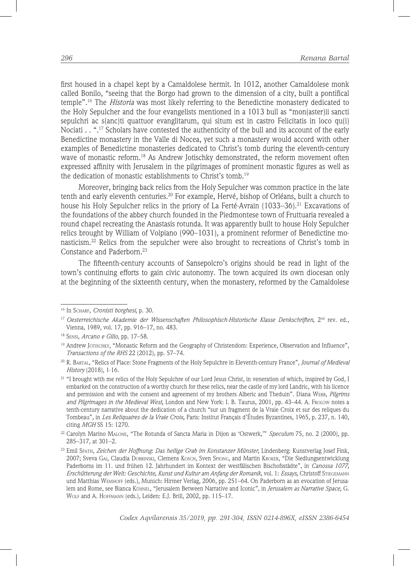first housed in a chapel kept by a Camaldolese hermit. In 1012, another Camaldolese monk called Bonilo, "seeing that the Borgo had grown to the dimension of a city, built a pontifical temple".16 The *Historia* was most likely referring to the Benedictine monastery dedicated to the Holy Sepulcher and the four evangelists mentioned in a 1013 bull as "mon(aster)ii sancti sepulchri ac s(anc)ti quattuor evanglitarum, qui situm est in castro Felicitatis in loco qu(i) Nociati . . ".<sup>17</sup> Scholars have contested the authenticity of the bull and its account of the early Benedictine monastery in the Valle di Nocea, yet such a monastery would accord with other examples of Benedictine monasteries dedicated to Christ's tomb during the eleventh-century wave of monastic reform.<sup>18</sup> As Andrew Jotischky demonstrated, the reform movement often expressed affinity with Jerusalem in the pilgrimages of prominent monastic figures as well as the dedication of monastic establishments to Christ's tomb.19

Moreover, bringing back relics from the Holy Sepulcher was common practice in the late tenth and early eleventh centuries.<sup>20</sup> For example, Hervé, bishop of Orléans, built a church to house his Holy Sepulcher relics in the priory of La Ferté-Avrain (1033–36).<sup>21</sup> Excavations of the foundations of the abbey church founded in the Piedmontese town of Fruttuaria revealed a round chapel recreating the Anastasis rotunda. It was apparently built to house Holy Sepulcher relics brought by William of Volpiano (990–1031), a prominent reformer of Benedictine monasticism.22 Relics from the sepulcher were also brought to recreations of Christ's tomb in Constance and Paderborn.<sup>23</sup>

The fifteenth-century accounts of Sansepolcro's origins should be read in light of the town's continuing efforts to gain civic autonomy. The town acquired its own diocesan only at the beginning of the sixteenth century, when the monastery, reformed by the Camaldolese

<sup>16</sup> In Scharf, *Cronisti borghesi*, p. 30.

<sup>&</sup>lt;sup>17</sup> Oesterreichische Akademie der Wissenschaften Philosophisch-Historische Klasse Denkschriften, 2<sup>nd</sup> rev. ed., Vienna, 1989, vol. 17, pp. 916–17, no. 483.

<sup>18</sup> Sensi, *Arcano e Gilio*, pp. 17–58.

<sup>&</sup>lt;sup>19</sup> Andrew JOTISCHKY, "Monastic Reform and the Geography of Christendom: Experience, Observation and Influence", *Transactions of the RHS* 22 (2012), pp. 57–74.

<sup>20</sup> R. Bartal, "Relics of Place: Stone Fragments of the Holy Sepulchre in Eleventh-century France", *Journal of Medieval History* (2018), 1-16.

<sup>21</sup> "I brought with me relics of the Holy Sepulchre of our Lord Jesus Christ, in veneration of which, inspired by God, I embarked on the construction of a worthy church for these relics, near the castle of my lord Landric, with his licence and permission and with the consent and agreement of my brothers Alberic and Theduin". Diana WEBB, *Pilgrims and Pilgrimages in the Medieval West,* London and New York: I. B. Taurus, 2001, pp. 43–44. A. Frolow notes a tenth-century narrative about the dedication of a church "sur un fragment de la Vraie Croix et sur des reliques du Tombeau", in *Les Reliquaires de la Vraie Croix,* Paris: Institut Français d'Études Byzantines, 1965, p. 237, n. 140, citing *MGH* SS 15: 1270.

<sup>22</sup> Carolyn Marino Malone, "The Rotunda of Sancta Maria in Dijon as 'Ostwerk,'" *Speculum* 75, no. 2 (2000), pp. 285–317, at 301–2.

<sup>23</sup> Emil Spath, *Zeichen der Hoffnung*: *Das heilige Grab im Konstanzer Münster,* Lindenberg: Kunstverlag Josef Fink, 2007; Sveva Gai, Claudia Dobrinski, Clemens Kosch, Sven Spiong, and Martin Kroker, "Die Siedlungsentwicklung Paderborns im 11. und frühen 12. Jahrhundert im Kontext der westfälischen Bischofsstädte", in *Canossa 1077, Erschütterung der Welt: Geschichte, Kunst und Kultur am Anfang der Romanik*, vol. 1: *Essays,* Christoff Stiegemann und Matthias Wemhoff (eds.), Munich: Hirmer Verlag, 2006, pp. 251–64. On Paderborn as an evocation of Jerusalem and Rome, see Bianca Kühnel, "Jerusalem Between Narrative and Iconic", in *Jerusalem as Narrative Space,* G. Wolf and A. Hoffmann (eds.), Leiden: E.J. Brill, 2002, pp. 115–17.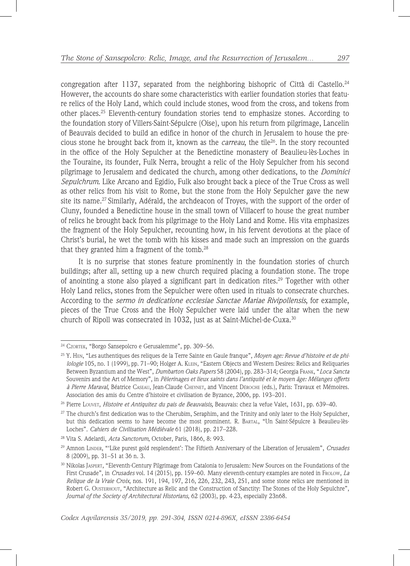congregation after 1137, separated from the neighboring bishopric of Città di Castello.<sup>24</sup> However, the accounts do share some characteristics with earlier foundation stories that feature relics of the Holy Land, which could include stones, wood from the cross, and tokens from other places.25 Eleventh-century foundation stories tend to emphasize stones. According to the foundation story of Villers-Saint-Sépulcre (Oise), upon his return from pilgrimage, Lancelin of Beauvais decided to build an edifice in honor of the church in Jerusalem to house the precious stone he brought back from it, known as the *carreau*, the tile26. In the story recounted in the office of the Holy Sepulcher at the Benedictine monastery of Beaulieu-lès-Loches in the Touraine, its founder, Fulk Nerra, brought a relic of the Holy Sepulcher from his second pilgrimage to Jerusalem and dedicated the church, among other dedications, to the *Dominici Sepulchrum*. Like Arcano and Egidio, Fulk also brought back a piece of the True Cross as well as other relics from his visit to Rome, but the stone from the Holy Sepulcher gave the new site its name.<sup>27</sup> Similarly, Adérald, the archdeacon of Troyes, with the support of the order of Cluny, founded a Benedictine house in the small town of Villacerf to house the great number of relics he brought back from his pilgrimage to the Holy Land and Rome. His vita emphasizes the fragment of the Holy Sepulcher, recounting how, in his fervent devotions at the place of Christ's burial, he wet the tomb with his kisses and made such an impression on the guards that they granted him a fragment of the tomb. $28$ 

It is no surprise that stones feature prominently in the foundation stories of church buildings; after all, setting up a new church required placing a foundation stone. The trope of anointing a stone also played a significant part in dedication rites.<sup>29</sup> Together with other Holy Land relics, stones from the Sepulcher were often used in rituals to consecrate churches. According to the *sermo in dedicatione ecclesiae Sanctae Mariae Rivipollensis*, for example, pieces of the True Cross and the Holy Sepulcher were laid under the altar when the new church of Ripoll was consecrated in 1032, just as at Saint-Michel-de-Cuxa.<sup>30</sup>

<sup>24</sup> Czortek, "Borgo Sansepolcro e Gerusalemme", pp. 309–56.

<sup>25</sup> Y. Hen, "Les authentiques des reliques de la Terre Sainte en Gaule franque", *Moyen age: Revue d'histoire et de philologie* 105, no. 1 (1999), pp. 71–90; Holger A. Klein, "Eastern Objects and Western Desires: Relics and Reliquaries Between Byzantium and the West", *Dumbarton Oaks Papers* 58 (2004), pp. 283–314; Georgia Frank, "*Loca Sancta* Souvenirs and the Art of Memory", in *Pèlerinages et lieux saints dans l'antiquité et le moyen âge: Mélanges offerts à Pierre Maraval*, Béatrice Caseau, Jean-Claude Cheynet, and Vincent Déroche (eds.), Paris: Travaux et Mémoires. Association des amis du Centre d'histoire et civilisation de Byzance, 2006, pp. 193–201.

<sup>26</sup> Pierre Louvet, *Histoire et Antiquitez du pais de Beauvaisis,* Beauvais: chez la vefue Valet, 1631, pp. 639–40.

<sup>&</sup>lt;sup>27</sup> The church's first dedication was to the Cherubim, Seraphim, and the Trinity and only later to the Holy Sepulcher, but this dedication seems to have become the most prominent. R. Bartal, "Un Saint-Sépulcre à Beaulieu-lès-Loches". *Cahiers de Civilisation Médiévale* 61 (2018), pp. 217–228.

<sup>28</sup> Vita S. Adelardi, *Acta Sanctorum*, October, Paris, 1866, 8: 993.

<sup>29</sup> Amnon Linder, "'Like purest gold resplendent': The Fiftieth Anniversary of the Liberation of Jerusalem", *Crusades* 8 (2009), pp. 31–51 at 36 n. 3.

<sup>30</sup> Nikolas Jaspert, "Eleventh-Century Pilgrimage from Catalonia to Jerusalem: New Sources on the Foundations of the First Crusade", in *Crusades* vol. 14 (2015), pp. 159–60. Many eleventh-century examples are noted in Frolow, *La Relique de la Vraie Croix*, nos. 191, 194, 197, 216, 226, 232, 243, 251, and some stone relics are mentioned in Robert G. Ousterhout, "Architecture as Relic and the Construction of Sanctity: The Stones of the Holy Sepulchre", *Journal of the Society of Architectural Historians*, 62 (2003), pp. 4-23, especially 23n68.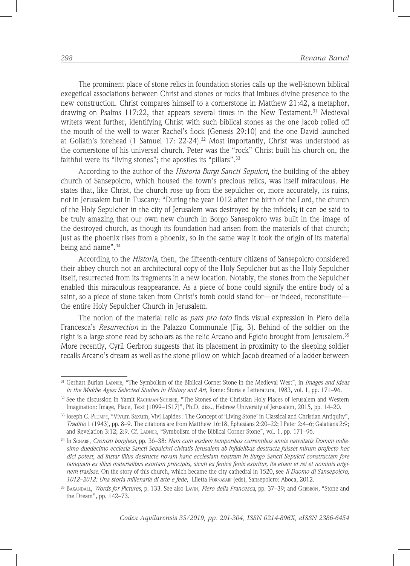The prominent place of stone relics in foundation stories calls up the well-known biblical exegetical associations between Christ and stones or rocks that imbues divine presence to the new construction. Christ compares himself to a cornerstone in Matthew 21:42, a metaphor, drawing on Psalms  $117:22$ , that appears several times in the New Testament.<sup>31</sup> Medieval writers went further, identifying Christ with such biblical stones as the one Jacob rolled off the mouth of the well to water Rachel's flock (Genesis 29:10) and the one David launched at Goliath's forehead (1 Samuel 17: 22-24).<sup>32</sup> Most importantly, Christ was understood as the cornerstone of his universal church. Peter was the "rock" Christ built his church on, the faithful were its "living stones"; the apostles its "pillars".<sup>33</sup>

According to the author of the *Historia Burgi Sancti Sepulcri*, the building of the abbey church of Sansepolcro, which housed the town's precious relics, was itself miraculous. He states that, like Christ, the church rose up from the sepulcher or, more accurately, its ruins, not in Jerusalem but in Tuscany: "During the year 1012 after the birth of the Lord, the church of the Holy Sepulcher in the city of Jerusalem was destroyed by the infidels; it can be said to be truly amazing that our own new church in Borgo Sansepolcro was built in the image of the destroyed church, as though its foundation had arisen from the materials of that church; just as the phoenix rises from a phoenix, so in the same way it took the origin of its material being and name".<sup>34</sup>

According to the *Historia*, then, the fifteenth-century citizens of Sansepolcro considered their abbey church not an architectural copy of the Holy Sepulcher but as the Holy Sepulcher itself, resurrected from its fragments in a new location. Notably, the stones from the Sepulcher enabled this miraculous reappearance. As a piece of bone could signify the entire body of a saint, so a piece of stone taken from Christ's tomb could stand for—or indeed, reconstitute the entire Holy Sepulcher Church in Jerusalem.

The notion of the material relic as *pars pro toto* finds visual expression in Piero della Francesca's *Resurrection* in the Palazzo Communale (Fig. 3). Behind of the soldier on the right is a large stone read by scholars as the relic Arcano and Egidio brought from Jerusalem.35 More recently, Cyril Gerbron suggests that its placement in proximity to the sleeping soldier recalls Arcano's dream as well as the stone pillow on which Jacob dreamed of a ladder between

<sup>31</sup> Gerhart Burian Ladner, "The Symbolism of the Biblical Corner Stone in the Medieval West", in *Images and Ideas in the Middle Ages: Selected Studies in History and Art*, Rome: Storia e Letteratura, 1983, vol. 1, pp. 171–96.

<sup>32</sup> See the discussion in Yamit RACHMAN-SCHRIRE, "The Stones of the Christian Holy Places of Jerusalem and Western Imagination: Image, Place, Text (1099–1517)", Ph.D. diss., Hebrew University of Jerusalem, 2015, pp. 14–20.

<sup>33</sup> Joseph C. Plumpe, "Vivum Saxum, Vivi Lapides : The Concept of 'Living Stone' in Classical and Christian Antiquity", *Traditio* 1 (1943), pp. 8–9. The citations are from Matthew 16:18, Ephesians 2:20–22; I Peter 2:4–6; Galatians 2:9; and Revelation 3:12; 2:9. Cf. LADNER, "Symbolism of the Biblical Corner Stone", vol. 1, pp. 171-96.

<sup>34</sup> In Scharf, *Cronisti borghesi*, pp. 36–38: *Nam cum eisdem temporibus currentibus annis nativitatis Domini millesimo duedecimo ecclesia Sancti Sepulchri civitatis Ierusalem ab infidelibus destructa fuisset mirum profecto hoc dici potest, ad instar illius destructe novam hanc ecclesiam nostram in Burgo Sancti Sepulcri constructam fore tamquam ex illius materialibus exortam principiis, sicuti ex fenice fenix exoritur, ita etiam et rei et nominis originem traxisse*. On the story of this church, which became the city cathedral in 1520, see *Il Duomo di Sansepolcro, 1012–2012: Una storia millenaria di arte e fede*, Liletta Fornasari (eds), Sansepolcro: Aboca, 2012.

<sup>35</sup> Baxandall, *Words for Pictures*, p. 133. See also Lavin, *Piero della Francesca*, pp. 37–39; and Gerbron, "Stone and the Dream", pp. 142–73.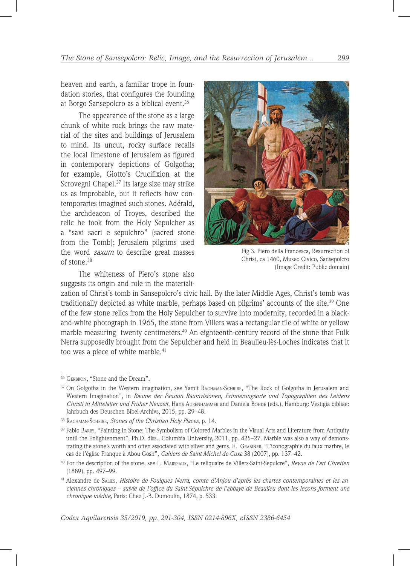heaven and earth, a familiar trope in foundation stories, that configures the founding at Borgo Sansepolcro as a biblical event.<sup>36</sup>

The appearance of the stone as a large chunk of white rock brings the raw material of the sites and buildings of Jerusalem to mind. Its uncut, rocky surface recalls the local limestone of Jerusalem as figured in contemporary depictions of Golgotha; for example, Giotto's Crucifixion at the Scrovegni Chapel.37 Its large size may strike us as improbable, but it reflects how contemporaries imagined such stones. Adérald, the archdeacon of Troyes, described the relic he took from the Holy Sepulcher as a "saxi sacri e sepulchro" (sacred stone from the Tomb); Jerusalem pilgrims used the word *saxum* to describe great masses of stone.38

The whiteness of Piero's stone also suggests its origin and role in the materiali-



Fig 3. Piero della Francesca, Resurrection of Christ, ca 1460, Museo Civico, Sansepolcro (Image Credit: Public domain)

zation of Christ's tomb in Sansepolcro's civic hall. By the later Middle Ages, Christ's tomb was traditionally depicted as white marble, perhaps based on pilgrims' accounts of the site.<sup>39</sup> One of the few stone relics from the Holy Sepulcher to survive into modernity, recorded in a blackand-white photograph in 1965, the stone from Villers was a rectangular tile of white or yellow marble measuring twenty centimeters.<sup>40</sup> An eighteenth-century record of the stone that Fulk Nerra supposedly brought from the Sepulcher and held in Beaulieu-lès-Loches indicates that it too was a piece of white marble.<sup>41</sup>

<sup>&</sup>lt;sup>36</sup> GERBRON, "Stone and the Dream".

<sup>&</sup>lt;sup>37</sup> On Golgotha in the Western imagination, see Yamit RACHMAN-SCHRIRE, "The Rock of Golgotha in Jerusalem and Western Imagination", in *Räume der Passion Raumvisionen, Erinnerungsorte und Topographien des Leidens Christi in Mittelalter und Früher Neuzeit*, Hans Aurenhammer and Daniela Bohde (eds.), Hamburg: Vestigia bibliae: Jahrbuch des Deuschen Bibel-Archivs, 2015, pp. 29–48.

<sup>38</sup> Rachman-Schrire, *Stones of the Christian Holy Places*, p. 14.

<sup>&</sup>lt;sup>39</sup> Fabio BARRY, "Painting in Stone: The Symbolism of Colored Marbles in the Visual Arts and Literature from Antiquity until the Enlightenment", Ph.D. diss., Columbia University, 2011, pp. 425–27. Marble was also a way of demonstrating the stone's worth and often associated with silver and gems. E. Grabiner, "L'iconographie du faux marbre, le cas de l'église Franque à Abou-Gosh", *Cahiers de Saint-Michel-de-Cuxa* 38 (2007), pp. 137–42.

<sup>40</sup> For the description of the stone, see L. Marseaux, "Le reliquaire de Villers-Saint-Sepulcre", *Revue de l'art Chretien* (1889), pp. 497–99.

<sup>41</sup> Alexandre de Salies, *Histoire de Foulques Nerra, comte d'Anjou d'après les chartes contemporaines et les anciennes chroniques – suivie de l'office du Saint-Sépulchre de l'abbaye de Beaulieu dont les leçons forment une chronique inédite,* Paris: Chez J.-B. Dumoulin, 1874, p. 533.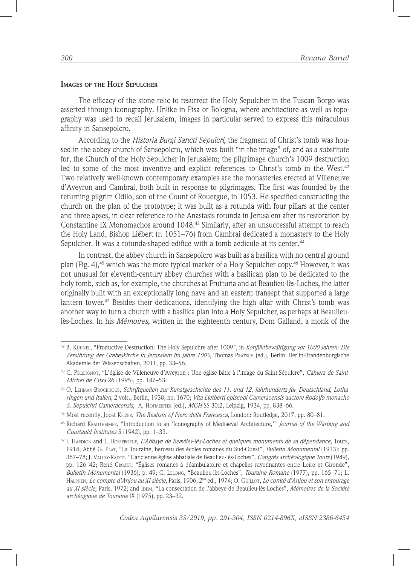## **Images of the Holy Sepulcher**

The efficacy of the stone relic to resurrect the Holy Sepulcher in the Tuscan Borgo was asserted through iconography. Unlike in Pisa or Bologna, where architecture as well as topography was used to recall Jerusalem, images in particular served to express this miraculous affinity in Sansepolcro.

According to the *Historia Burgi Sancti Sepulcri,* the fragment of Christ's tomb was housed in the abbey church of Sansepolcro, which was built "in the image" of, and as a substitute for, the Church of the Holy Sepulcher in Jerusalem; the pilgrimage church's 1009 destruction led to some of the most inventive and explicit references to Christ's tomb in the West.<sup>42</sup> Two relatively well-known contemporary examples are the monasteries erected at Villeneuve d'Aveyron and Cambrai, both built in response to pilgrimages. The first was founded by the returning pilgrim Odilo, son of the Count of Rouergue, in 1053. He specified constructing the church on the plan of the prototype; it was built as a rotunda with four pillars at the center and three apses, in clear reference to the Anastasis rotunda in Jerusalem after its restoration by Constantine IX Monomachos around 1048.43 Similarly, after an unsuccessful attempt to reach the Holy Land, Bishop Liébert (r. 1051–76) from Cambrai dedicated a monastery to the Holy Sepulcher. It was a rotunda-shaped edifice with a tomb aedicule at its center.<sup>44</sup>

In contrast, the abbey church in Sansepolcro was built as a basilica with no central ground plan (Fig. 4), $45$  which was the more typical marker of a Holy Sepulcher copy. $46$  However, it was not unusual for eleventh-century abbey churches with a basilican plan to be dedicated to the holy tomb, such as, for example, the churches at Frutturia and at Beaulieu-lès-Loches, the latter originally built with an exceptionally long nave and an eastern transept that supported a large lantern tower.<sup>47</sup> Besides their dedications, identifying the high altar with Christ's tomb was another way to turn a church with a basilica plan into a Holy Sepulcher, as perhaps at Beaulieulès-Loches. In his *Mémoires,* written in the eighteenth century, Dom Galland, a monk of the

<sup>42</sup> B. Kühnel, "Productive Destruction: The Holy Sepulchre after 1009", in *Konfliktbewältigung vor 1000 Jahren: Die Zerstörung der Grabeskirche in Jerusalem im Jahre 1009*, Thomas Pratsch (ed.), Berlin: Berlin-Brandenburgische Akademie der Wissenschaften, 2011, pp. 33–56.

<sup>43</sup> C. Péquignot, "L'église de Villeneuve-d'Aveyron : Une église bâtie à l'image du Saint-Sépulcre", *Cahiers de Saint-Michel de Cuxa* 26 (1995), pp. 147–53.

<sup>44</sup> O. Lehman-Brockhous, *Schriftquellen zur Kunstgeschichte des 11. und 12. Jahrhunderts fűr Deutschland, Lotharingen und Italien*, 2 vols., Berlin, 1938, no. 1670; *Vita Lietberti episcopi Cameracensis auctore Rodolfo monacho S. Sepulchri Cameracensis*, A. Hofmeister (ed.), *MGH* SS 30:2, Leipzig, 1934, pp. 838–66.

<sup>45</sup> Most recently, Joost Keizer, *The Realism of Piero della Francesca,* London: Routledge, 2017, pp. 80–81.

<sup>46</sup> Richard Krautheimer, "Introduction to an 'Iconography of Mediaeval Architecture,'" *Journal of the Warburg and Courtauld Institutes* 5 (1942), pp. 1–33.

<sup>47</sup> J. Hardion and L. Bosseboeuf, *L'Abbaye de Beavliev-lès-Loches et quelques monuments de sa dépendance,* Tours, 1914; Abbé G. Plat, "La Touraine, berceau des écoles romanes du Sud-Ouest", *Bulletin Monumental* (1913): pp. 367–78; J. Vallry-Radot, "L'ancienne église abbatiale de Beaulieu-lès-Loches", *Congrès archéologique Tours* (1949), pp. 126–42; René Crozet, "Églises romanes à déambulatoire et chapelles rayonnantes entre Loire et Gironde", *Bulletin Monumental* (1936), p. 49; C. Lelong, "Beaulieu-lès-Loches", *Touraine Romane* (1977), pp. 165–71; L. Halphen, *Le compte d'Anjou au XI siècle,* Paris, 1906; 2nd ed., 1974; O. Guillot, *Le comté d'Anjou et son entourage au XI siècle,* Paris, 1972; and Idem, "La consecration de l'abbeye de Beaulieu-lès-Loches", *Mémoires de la Société archéogique de Touraine* IX (1975), pp. 23–32.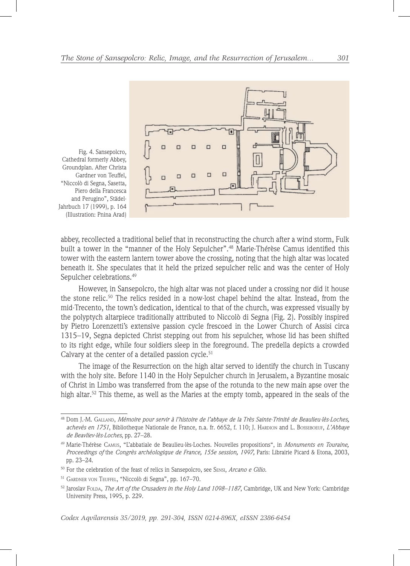

Fig. 4. Sansepolcro, Cathedral formerly Abbey, Groundplan. After Christa Gardner von Teuffel, "Niccolò di Segna, Sasetta, Piero della Francesca and Perugino", Städel-Jahrbuch 17 (1999), p. 164 (Illustration: Pnina Arad)

abbey, recollected a traditional belief that in reconstructing the church after a wind storm, Fulk built a tower in the "manner of the Holy Sepulcher".48 Marie-Thérèse Camus identified this tower with the eastern lantern tower above the crossing, noting that the high altar was located beneath it. She speculates that it held the prized sepulcher relic and was the center of Holy Sepulcher celebrations.<sup>49</sup>

However, in Sansepolcro, the high altar was not placed under a crossing nor did it house the stone relic.50 The relics resided in a now-lost chapel behind the altar. Instead, from the mid-Trecento, the town's dedication, identical to that of the church, was expressed visually by the polyptych altarpiece traditionally attributed to Niccolò di Segna (Fig. 2). Possibly inspired by Pietro Lorenzetti's extensive passion cycle frescoed in the Lower Church of Assisi circa 1315–19, Segna depicted Christ stepping out from his sepulcher, whose lid has been shifted to its right edge, while four soldiers sleep in the foreground. The predella depicts a crowded Calvary at the center of a detailed passion cycle.<sup>51</sup>

The image of the Resurrection on the high altar served to identify the church in Tuscany with the holy site. Before 1140 in the Holy Sepulcher church in Jerusalem, a Byzantine mosaic of Christ in Limbo was transferred from the apse of the rotunda to the new main apse over the high altar.<sup>52</sup> This theme, as well as the Maries at the empty tomb, appeared in the seals of the

<sup>48</sup> Dom J.-M. Galland, *Mémoire pour servir à l'histoire de l'abbaye de la Très Sainte-Trinité de Beaulieu-lès-Loches, achevés en 1751*, Bibliotheque Nationale de France, n.a. fr. 6652, f. 110; J. Hardion and L. Bosseboeuf, *L'Abbaye de Beavliev-lès-Loches*, pp. 27–28.

<sup>49</sup> Marie-Thérèse Camus, "L'abbatiale de Beaulieu-lès-Loches. Nouvelles propositions", in *Monuments en Touraine, Proceedings of* the *Congrès archéologique de France, 155e session, 1997,* Paris: Librairie Picard & Etona, 2003, pp. 23–24.

<sup>50</sup> For the celebration of the feast of relics in Sansepolcro, see Sensi, *Arcano e Gilio.*

<sup>51</sup> Gardner von Teuffel, "Niccolò di Segna", pp. 167–70.

<sup>52</sup> Jaroslav Folda, *The Art of the Crusaders in the Holy Land 1098–1187*, Cambridge, UK and New York: Cambridge University Press, 1995, p. 229.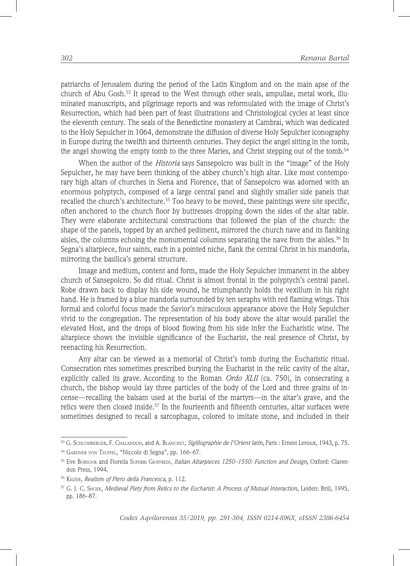patriarchs of Jerusalem during the period of the Latin Kingdom and on the main apse of the church of Abu Gosh.<sup>53</sup> It spread to the West through other seals, ampullae, metal work, illuminated manuscripts, and pilgrimage reports and was reformulated with the image of Christ's Resurrection, which had been part of feast illustrations and Christological cycles at least since the eleventh century. The seals of the Benedictine monastery at Cambrai, which was dedicated to the Holy Sepulcher in 1064, demonstrate the diffusion of diverse Holy Sepulcher iconography in Europe during the twelfth and thirteenth centuries. They depict the angel sitting in the tomb, the angel showing the empty tomb to the three Maries, and Christ stepping out of the tomb.<sup>54</sup>

When the author of the *Historia* says Sansepolcro was built in the "image" of the Holy Sepulcher, he may have been thinking of the abbey church's high altar. Like most contemporary high altars of churches in Siena and Florence, that of Sansepolcro was adorned with an enormous polyptych, composed of a large central panel and slightly smaller side panels that recalled the church's architecture.<sup>55</sup> Too heavy to be moved, these paintings were site specific, often anchored to the church floor by buttresses dropping down the sides of the altar table. They were elaborate architectural constructions that followed the plan of the church: the shape of the panels, topped by an arched pediment, mirrored the church nave and its flanking aisles, the columns echoing the monumental columns separating the nave from the aisles.<sup>56</sup> In Segna's altarpiece, four saints, each in a pointed niche, flank the central Christ in his mandorla, mirroring the basilica's general structure.

Image and medium, content and form, made the Holy Sepulcher immanent in the abbey church of Sansepolcro. So did ritual. Christ is almost frontal in the polyptych's central panel. Robe drawn back to display his side wound, he triumphantly holds the vexillum in his right hand. He is framed by a blue mandorla surrounded by ten seraphs with red flaming wings. This formal and colorful focus made the Savior's miraculous appearance above the Holy Sepulcher vivid to the congregation. The representation of his body above the altar would parallel the elevated Host, and the drops of blood flowing from his side infer the Eucharistic wine. The altarpiece shows the invisible significance of the Eucharist, the real presence of Christ, by reenacting his Resurrection.

Any altar can be viewed as a memorial of Christ's tomb during the Eucharistic ritual. Consecration rites sometimes prescribed burying the Eucharist in the relic cavity of the altar, explicitly called its grave. According to the Roman *Ordo XLII* (ca. 750), in consecrating a church, the bishop would lay three particles of the body of the Lord and three grains of incense—recalling the balsam used at the burial of the martyrs—in the altar's grave, and the relics were then closed inside.<sup>57</sup> In the fourteenth and fifteenth centuries, altar surfaces were sometimes designed to recall a sarcophagus, colored to imitate stone, and included in their

<sup>53</sup> G. Schlumberger, F. Chalandon, and A. Blanchet, *Sigillographie de I'Orient latin,* Paris : Ernest Leroux, 1943, p. 75.

<sup>54</sup> Gardner von Teuffel, "Niccolo di Segna", pp. 166–67.

<sup>55</sup> Eve Borsook and Fiorella Superbi Gioffredi, *Italian Altarpieces 1250–1550: Function and Design,* Oxford: Clarendon Press, 1994.

<sup>56</sup> Keizer, *Realism of Piero della Francesca*, p. 112.

<sup>57</sup> G. J. C. Snoek, *Medieval Piety from Relics to the Eucharist: A Process of Mutual Interaction*, Leiden: Brill, 1995, pp. 186–87.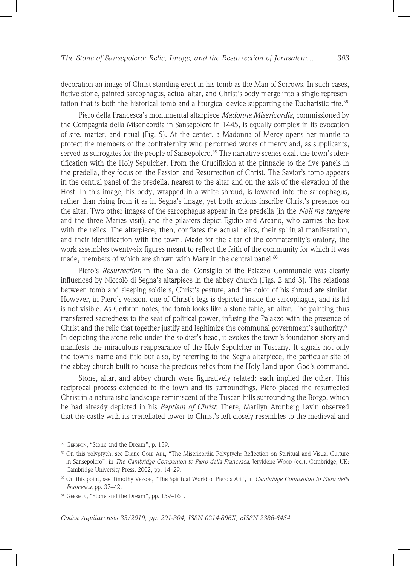decoration an image of Christ standing erect in his tomb as the Man of Sorrows. In such cases, fictive stone, painted sarcophagus, actual altar, and Christ's body merge into a single representation that is both the historical tomb and a liturgical device supporting the Eucharistic rite.<sup>58</sup>

Piero della Francesca's monumental altarpiece *Madonna Misericordia*, commissioned by the Compagnia della Misericordia in Sansepolcro in 1445, is equally complex in its evocation of site, matter, and ritual (Fig. 5). At the center, a Madonna of Mercy opens her mantle to protect the members of the confraternity who performed works of mercy and, as supplicants, served as surrogates for the people of Sansepolcro.<sup>59</sup> The narrative scenes exalt the town's identification with the Holy Sepulcher. From the Crucifixion at the pinnacle to the five panels in the predella, they focus on the Passion and Resurrection of Christ. The Savior's tomb appears in the central panel of the predella, nearest to the altar and on the axis of the elevation of the Host. In this image, his body, wrapped in a white shroud, is lowered into the sarcophagus, rather than rising from it as in Segna's image, yet both actions inscribe Christ's presence on the altar. Two other images of the sarcophagus appear in the predella (in the *Noli me tangere* and the three Maries visit), and the pilasters depict Egidio and Arcano, who carries the box with the relics. The altarpiece, then, conflates the actual relics, their spiritual manifestation, and their identification with the town. Made for the altar of the confraternity's oratory, the work assembles twenty-six figures meant to reflect the faith of the community for which it was made, members of which are shown with Mary in the central panel.<sup>60</sup>

Piero's *Resurrection* in the Sala del Consiglio of the Palazzo Communale was clearly influenced by Niccolò di Segna's altarpiece in the abbey church (Figs. 2 and 3). The relations between tomb and sleeping soldiers, Christ's gesture, and the color of his shroud are similar. However, in Piero's version, one of Christ's legs is depicted inside the sarcophagus, and its lid is not visible. As Gerbron notes, the tomb looks like a stone table, an altar. The painting thus transferred sacredness to the seat of political power, infusing the Palazzo with the presence of Christ and the relic that together justify and legitimize the communal government's authority.<sup>61</sup> In depicting the stone relic under the soldier's head, it evokes the town's foundation story and manifests the miraculous reappearance of the Holy Sepulcher in Tuscany. It signals not only the town's name and title but also, by referring to the Segna altarpiece, the particular site of the abbey church built to house the precious relics from the Holy Land upon God's command.

Stone, altar, and abbey church were figuratively related: each implied the other. This reciprocal process extended to the town and its surroundings. Piero placed the resurrected Christ in a naturalistic landscape reminiscent of the Tuscan hills surrounding the Borgo, which he had already depicted in his *Baptism of Christ*. There, Marilyn Aronberg Lavin observed that the castle with its crenellated tower to Christ's left closely resembles to the medieval and

<sup>58</sup> GERBRON, "Stone and the Dream", p. 159.

<sup>59</sup> On this polyptych, see Diane Cole Ahl, "The Misericordia Polyptych: Reflection on Spiritual and Visual Culture in Sansepolcro", in *The Cambridge Companion to Piero della Francesca*, Jeryldene Woop (ed.), Cambridge, UK: Cambridge University Press, 2002, pp. 14–29.

<sup>60</sup> On this point, see Timothy Verson, "The Spiritual World of Piero's Art", in *Cambridge Companion to Piero della Francesca*, pp. 37–42.

<sup>&</sup>lt;sup>61</sup> GERBRON, "Stone and the Dream", pp. 159-161.